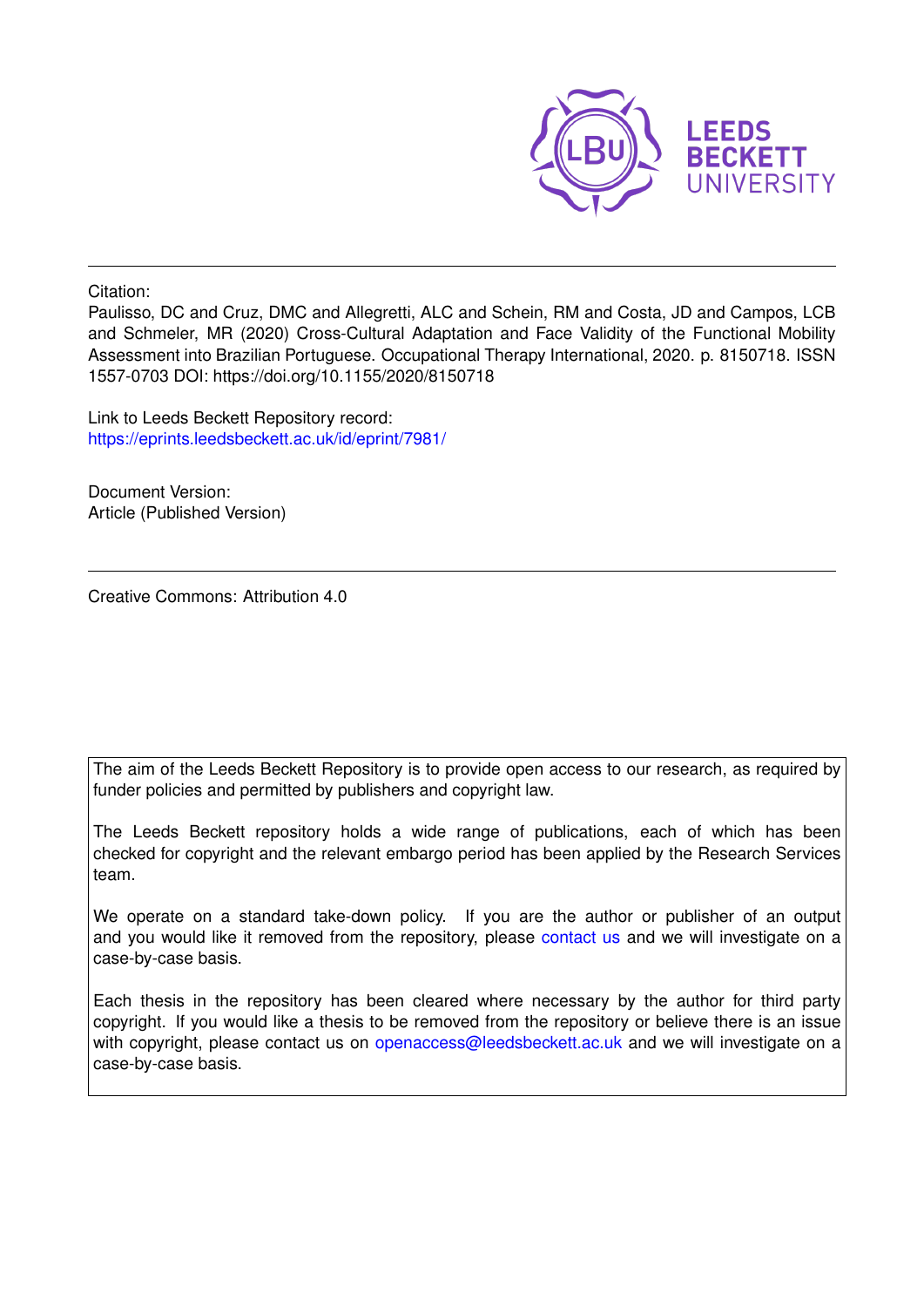

Citation:

Paulisso, DC and Cruz, DMC and Allegretti, ALC and Schein, RM and Costa, JD and Campos, LCB and Schmeler, MR (2020) Cross-Cultural Adaptation and Face Validity of the Functional Mobility Assessment into Brazilian Portuguese. Occupational Therapy International, 2020. p. 8150718. ISSN 1557-0703 DOI: https://doi.org/10.1155/2020/8150718

Link to Leeds Beckett Repository record: <https://eprints.leedsbeckett.ac.uk/id/eprint/7981/>

Document Version: Article (Published Version)

Creative Commons: Attribution 4.0

The aim of the Leeds Beckett Repository is to provide open access to our research, as required by funder policies and permitted by publishers and copyright law.

The Leeds Beckett repository holds a wide range of publications, each of which has been checked for copyright and the relevant embargo period has been applied by the Research Services team.

We operate on a standard take-down policy. If you are the author or publisher of an output and you would like it removed from the repository, please [contact us](mailto:openaccess@leedsbeckett.ac.uk) and we will investigate on a case-by-case basis.

Each thesis in the repository has been cleared where necessary by the author for third party copyright. If you would like a thesis to be removed from the repository or believe there is an issue with copyright, please contact us on [openaccess@leedsbeckett.ac.uk](mailto:openaccess@leedsbeckett.ac.uk) and we will investigate on a case-by-case basis.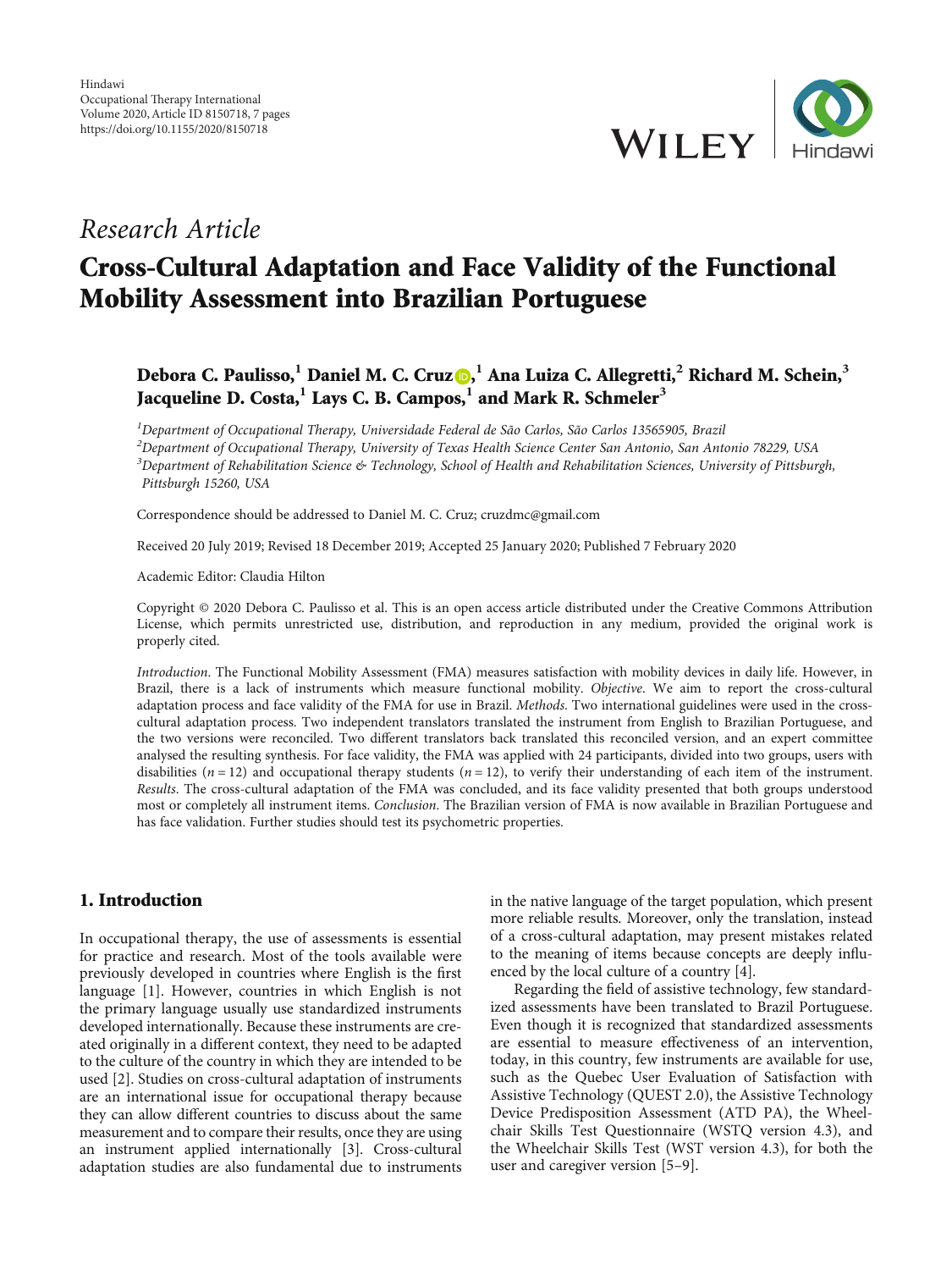

# Research Article

# Cross-Cultural Adaptation and Face Validity of the Functional Mobility Assessment into Brazilian Portuguese

Debora C. Paulisso[,](https://orcid.org/0000-0002-4708-354X) $^{1}$  Daniel M. C. Cruz $\textcolor{blue}{\bullet}$ , $^{1}$  Ana Luiza C. Allegretti, $^{2}$  Richard M. Schein, $^{3}$ Jacqueline D. Costa,**<sup>1</sup>** Lays C. B. Campos,**<sup>1</sup>** and Mark R. Schmeler**<sup>3</sup>**

 $^{\text{1}}$ Department of Occupational Therapy, Universidade Federal de São Carlos, São Carlos 13565905, Brazil

 $^2$ Department of Occupational Therapy, University of Texas Health Science Center San Antonio, San Antonio 78229, USA

 $^3$ Department of Rehabilitation Science & Technology, School of Health and Rehabilitation Sciences, University of Pittsburgh, Pittsburgh 15260, USA

Correspondence should be addressed to Daniel M. C. Cruz; cruzdmc@gmail.com

Received 20 July 2019; Revised 18 December 2019; Accepted 25 January 2020; Published 7 February 2020

Academic Editor: Claudia Hilton

Copyright © 2020 Debora C. Paulisso et al. This is an open access article distributed under the [Creative Commons Attribution](https://creativecommons.org/licenses/by/4.0/) [License,](https://creativecommons.org/licenses/by/4.0/) which permits unrestricted use, distribution, and reproduction in any medium, provided the original work is properly cited.

Introduction. The Functional Mobility Assessment (FMA) measures satisfaction with mobility devices in daily life. However, in Brazil, there is a lack of instruments which measure functional mobility. Objective. We aim to report the cross-cultural adaptation process and face validity of the FMA for use in Brazil. Methods. Two international guidelines were used in the crosscultural adaptation process. Two independent translators translated the instrument from English to Brazilian Portuguese, and the two versions were reconciled. Two different translators back translated this reconciled version, and an expert committee analysed the resulting synthesis. For face validity, the FMA was applied with 24 participants, divided into two groups, users with disabilities  $(n = 12)$  and occupational therapy students  $(n = 12)$ , to verify their understanding of each item of the instrument. Results. The cross-cultural adaptation of the FMA was concluded, and its face validity presented that both groups understood most or completely all instrument items. Conclusion. The Brazilian version of FMA is now available in Brazilian Portuguese and has face validation. Further studies should test its psychometric properties.

# 1. Introduction

In occupational therapy, the use of assessments is essential for practice and research. Most of the tools available were previously developed in countries where English is the first language [\[1\]](#page-7-0). However, countries in which English is not the primary language usually use standardized instruments developed internationally. Because these instruments are created originally in a different context, they need to be adapted to the culture of the country in which they are intended to be used [\[2\]](#page-7-0). Studies on cross-cultural adaptation of instruments are an international issue for occupational therapy because they can allow different countries to discuss about the same measurement and to compare their results, once they are using an instrument applied internationally [[3](#page-7-0)]. Cross-cultural adaptation studies are also fundamental due to instruments

in the native language of the target population, which present more reliable results. Moreover, only the translation, instead of a cross-cultural adaptation, may present mistakes related to the meaning of items because concepts are deeply influenced by the local culture of a country [\[4\]](#page-7-0).

Regarding the field of assistive technology, few standardized assessments have been translated to Brazil Portuguese. Even though it is recognized that standardized assessments are essential to measure effectiveness of an intervention, today, in this country, few instruments are available for use, such as the Quebec User Evaluation of Satisfaction with Assistive Technology (QUEST 2.0), the Assistive Technology Device Predisposition Assessment (ATD PA), the Wheelchair Skills Test Questionnaire (WSTQ version 4.3), and the Wheelchair Skills Test (WST version 4.3), for both the user and caregiver version [[5](#page-7-0)–[9\]](#page-7-0).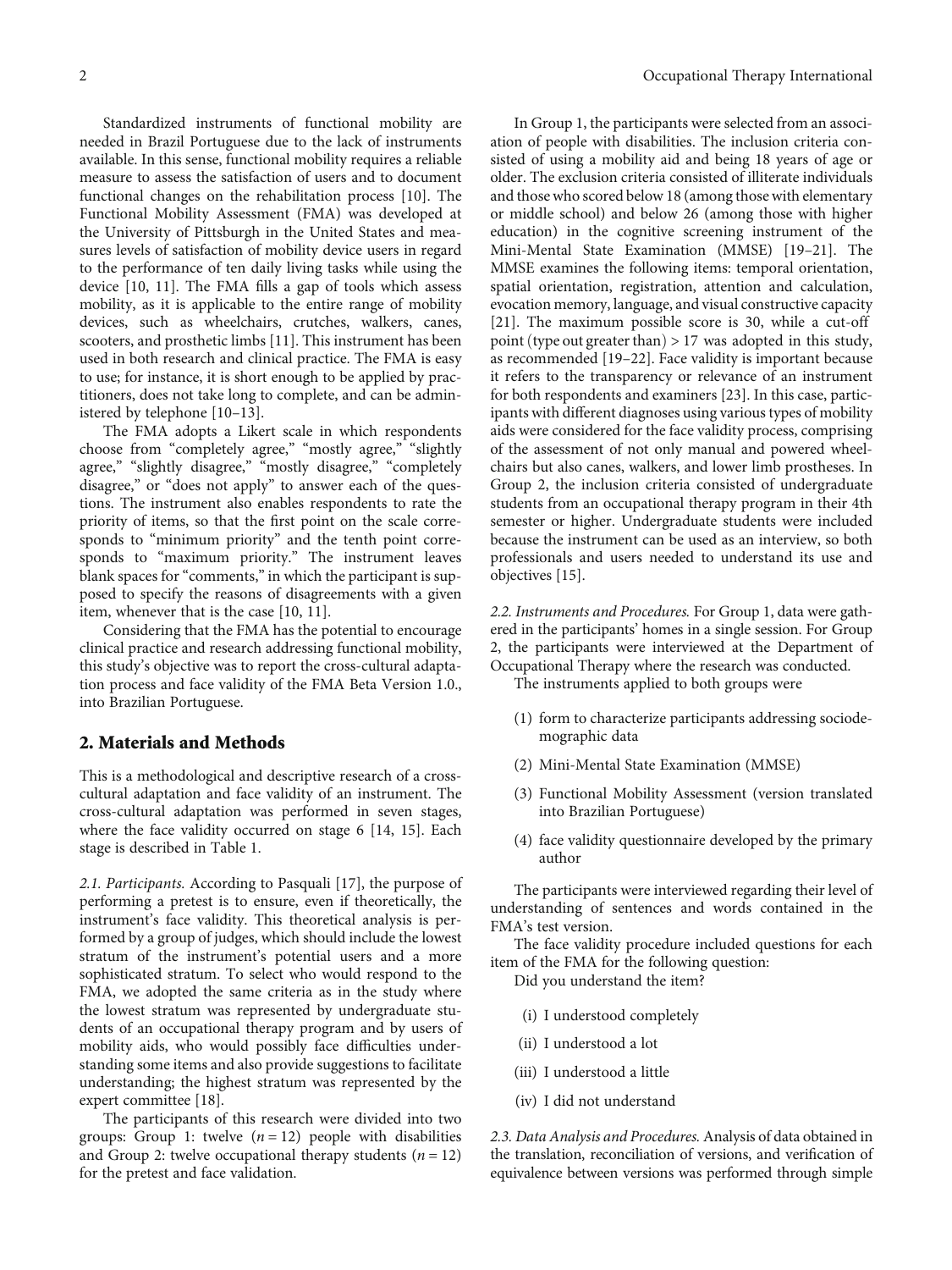Standardized instruments of functional mobility are needed in Brazil Portuguese due to the lack of instruments available. In this sense, functional mobility requires a reliable measure to assess the satisfaction of users and to document functional changes on the rehabilitation process [\[10\]](#page-7-0). The Functional Mobility Assessment (FMA) was developed at the University of Pittsburgh in the United States and measures levels of satisfaction of mobility device users in regard to the performance of ten daily living tasks while using the device [\[10, 11](#page-7-0)]. The FMA fills a gap of tools which assess mobility, as it is applicable to the entire range of mobility devices, such as wheelchairs, crutches, walkers, canes, scooters, and prosthetic limbs [\[11\]](#page-7-0). This instrument has been used in both research and clinical practice. The FMA is easy to use; for instance, it is short enough to be applied by practitioners, does not take long to complete, and can be administered by telephone [[10](#page-7-0)–[13\]](#page-7-0).

The FMA adopts a Likert scale in which respondents choose from "completely agree," "mostly agree," "slightly agree," "slightly disagree," "mostly disagree," "completely disagree," or "does not apply" to answer each of the questions. The instrument also enables respondents to rate the priority of items, so that the first point on the scale corresponds to "minimum priority" and the tenth point corresponds to "maximum priority." The instrument leaves blank spaces for "comments," in which the participant is supposed to specify the reasons of disagreements with a given item, whenever that is the case [[10, 11\]](#page-7-0).

Considering that the FMA has the potential to encourage clinical practice and research addressing functional mobility, this study's objective was to report the cross-cultural adaptation process and face validity of the FMA Beta Version 1.0., into Brazilian Portuguese.

# 2. Materials and Methods

This is a methodological and descriptive research of a crosscultural adaptation and face validity of an instrument. The cross-cultural adaptation was performed in seven stages, where the face validity occurred on stage 6 [[14](#page-7-0), [15\]](#page-7-0). Each stage is described in Table [1](#page-3-0).

2.1. Participants. According to Pasquali [[17](#page-7-0)], the purpose of performing a pretest is to ensure, even if theoretically, the instrument's face validity. This theoretical analysis is performed by a group of judges, which should include the lowest stratum of the instrument's potential users and a more sophisticated stratum. To select who would respond to the FMA, we adopted the same criteria as in the study where the lowest stratum was represented by undergraduate students of an occupational therapy program and by users of mobility aids, who would possibly face difficulties understanding some items and also provide suggestions to facilitate understanding; the highest stratum was represented by the expert committee [\[18\]](#page-7-0).

The participants of this research were divided into two groups: Group 1: twelve  $(n = 12)$  people with disabilities and Group 2: twelve occupational therapy students  $(n = 12)$ for the pretest and face validation.

In Group 1, the participants were selected from an association of people with disabilities. The inclusion criteria consisted of using a mobility aid and being 18 years of age or older. The exclusion criteria consisted of illiterate individuals and those who scored below 18 (among those with elementary or middle school) and below 26 (among those with higher education) in the cognitive screening instrument of the Mini-Mental State Examination (MMSE) [\[19](#page-7-0)–[21\]](#page-7-0). The MMSE examines the following items: temporal orientation, spatial orientation, registration, attention and calculation, evocation memory, language, and visual constructive capacity [\[21\]](#page-7-0). The maximum possible score is 30, while a cut-off point (type out greater than) > 17 was adopted in this study, as recommended [[19](#page-7-0)–[22](#page-7-0)]. Face validity is important because it refers to the transparency or relevance of an instrument for both respondents and examiners [[23](#page-7-0)]. In this case, participants with different diagnoses using various types of mobility aids were considered for the face validity process, comprising of the assessment of not only manual and powered wheelchairs but also canes, walkers, and lower limb prostheses. In Group 2, the inclusion criteria consisted of undergraduate students from an occupational therapy program in their 4th semester or higher. Undergraduate students were included because the instrument can be used as an interview, so both professionals and users needed to understand its use and objectives [[15](#page-7-0)].

2.2. Instruments and Procedures. For Group 1, data were gathered in the participants' homes in a single session. For Group 2, the participants were interviewed at the Department of Occupational Therapy where the research was conducted.

The instruments applied to both groups were

- (1) form to characterize participants addressing sociodemographic data
- (2) Mini-Mental State Examination (MMSE)
- (3) Functional Mobility Assessment (version translated into Brazilian Portuguese)
- (4) face validity questionnaire developed by the primary author

The participants were interviewed regarding their level of understanding of sentences and words contained in the FMA's test version.

The face validity procedure included questions for each item of the FMA for the following question:

Did you understand the item?

- (i) I understood completely
- (ii) I understood a lot
- (iii) I understood a little
- (iv) I did not understand

2.3. Data Analysis and Procedures. Analysis of data obtained in the translation, reconciliation of versions, and verification of equivalence between versions was performed through simple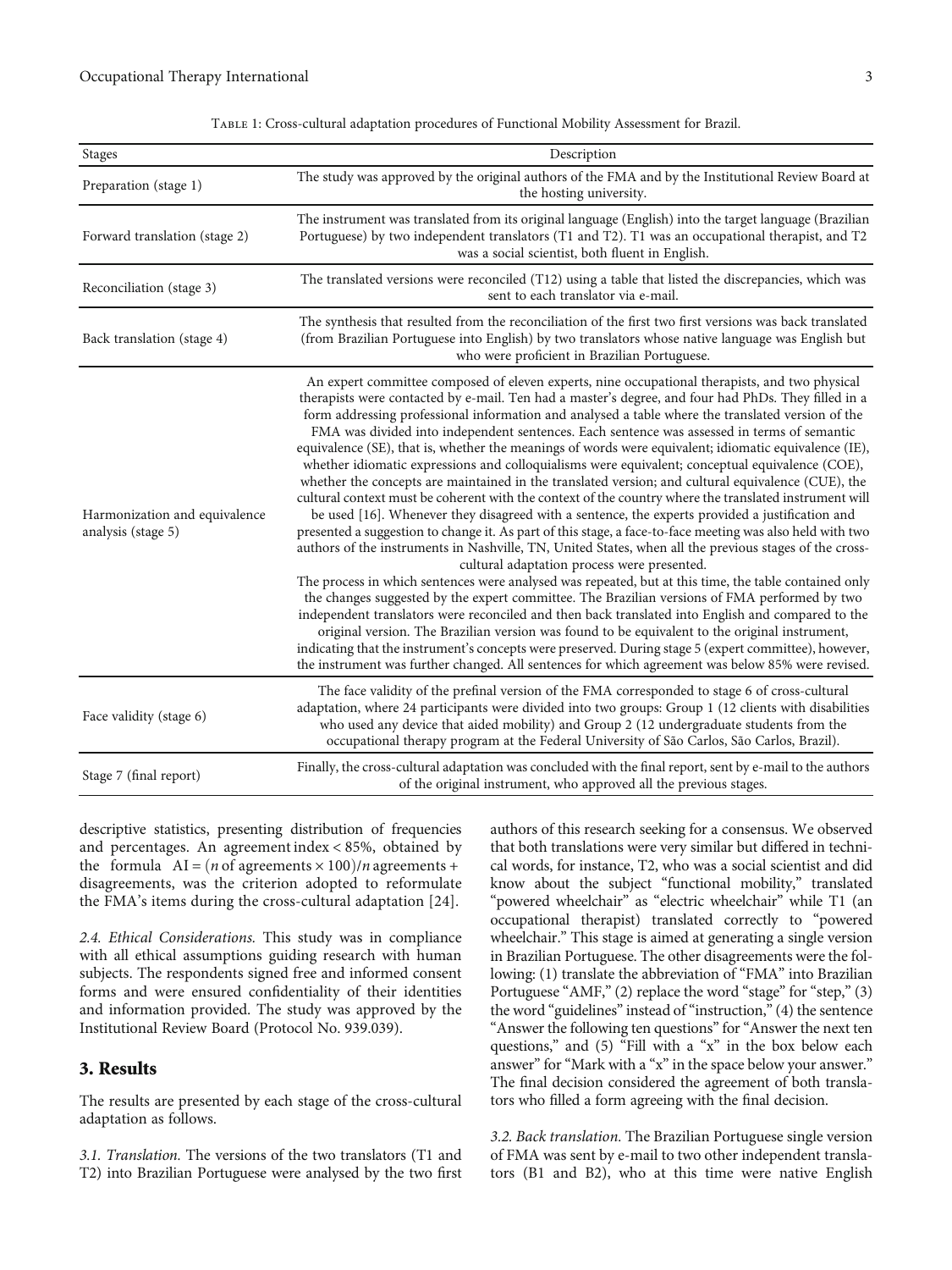<span id="page-3-0"></span>

| <b>Stages</b>                                       | Description                                                                                                                                                                                                                                                                                                                                                                                                                                                                                                                                                                                                                                                                                                                                                                                                                                                                                                                                                                                                                                                                                                                                                                                                                                                                                                                                                                                                                                                                                                                                                                                                                                                                                                                                                                                                                                   |
|-----------------------------------------------------|-----------------------------------------------------------------------------------------------------------------------------------------------------------------------------------------------------------------------------------------------------------------------------------------------------------------------------------------------------------------------------------------------------------------------------------------------------------------------------------------------------------------------------------------------------------------------------------------------------------------------------------------------------------------------------------------------------------------------------------------------------------------------------------------------------------------------------------------------------------------------------------------------------------------------------------------------------------------------------------------------------------------------------------------------------------------------------------------------------------------------------------------------------------------------------------------------------------------------------------------------------------------------------------------------------------------------------------------------------------------------------------------------------------------------------------------------------------------------------------------------------------------------------------------------------------------------------------------------------------------------------------------------------------------------------------------------------------------------------------------------------------------------------------------------------------------------------------------------|
| Preparation (stage 1)                               | The study was approved by the original authors of the FMA and by the Institutional Review Board at<br>the hosting university.                                                                                                                                                                                                                                                                                                                                                                                                                                                                                                                                                                                                                                                                                                                                                                                                                                                                                                                                                                                                                                                                                                                                                                                                                                                                                                                                                                                                                                                                                                                                                                                                                                                                                                                 |
| Forward translation (stage 2)                       | The instrument was translated from its original language (English) into the target language (Brazilian<br>Portuguese) by two independent translators (T1 and T2). T1 was an occupational therapist, and T2<br>was a social scientist, both fluent in English.                                                                                                                                                                                                                                                                                                                                                                                                                                                                                                                                                                                                                                                                                                                                                                                                                                                                                                                                                                                                                                                                                                                                                                                                                                                                                                                                                                                                                                                                                                                                                                                 |
| Reconciliation (stage 3)                            | The translated versions were reconciled (T12) using a table that listed the discrepancies, which was<br>sent to each translator via e-mail.                                                                                                                                                                                                                                                                                                                                                                                                                                                                                                                                                                                                                                                                                                                                                                                                                                                                                                                                                                                                                                                                                                                                                                                                                                                                                                                                                                                                                                                                                                                                                                                                                                                                                                   |
| Back translation (stage 4)                          | The synthesis that resulted from the reconciliation of the first two first versions was back translated<br>(from Brazilian Portuguese into English) by two translators whose native language was English but<br>who were proficient in Brazilian Portuguese.                                                                                                                                                                                                                                                                                                                                                                                                                                                                                                                                                                                                                                                                                                                                                                                                                                                                                                                                                                                                                                                                                                                                                                                                                                                                                                                                                                                                                                                                                                                                                                                  |
| Harmonization and equivalence<br>analysis (stage 5) | An expert committee composed of eleven experts, nine occupational therapists, and two physical<br>therapists were contacted by e-mail. Ten had a master's degree, and four had PhDs. They filled in a<br>form addressing professional information and analysed a table where the translated version of the<br>FMA was divided into independent sentences. Each sentence was assessed in terms of semantic<br>equivalence (SE), that is, whether the meanings of words were equivalent; idiomatic equivalence (IE),<br>whether idiomatic expressions and colloquialisms were equivalent; conceptual equivalence (COE),<br>whether the concepts are maintained in the translated version; and cultural equivalence (CUE), the<br>cultural context must be coherent with the context of the country where the translated instrument will<br>be used [16]. Whenever they disagreed with a sentence, the experts provided a justification and<br>presented a suggestion to change it. As part of this stage, a face-to-face meeting was also held with two<br>authors of the instruments in Nashville, TN, United States, when all the previous stages of the cross-<br>cultural adaptation process were presented.<br>The process in which sentences were analysed was repeated, but at this time, the table contained only<br>the changes suggested by the expert committee. The Brazilian versions of FMA performed by two<br>independent translators were reconciled and then back translated into English and compared to the<br>original version. The Brazilian version was found to be equivalent to the original instrument,<br>indicating that the instrument's concepts were preserved. During stage 5 (expert committee), however,<br>the instrument was further changed. All sentences for which agreement was below 85% were revised. |
| Face validity (stage 6)                             | The face validity of the prefinal version of the FMA corresponded to stage 6 of cross-cultural<br>adaptation, where 24 participants were divided into two groups: Group 1 (12 clients with disabilities<br>who used any device that aided mobility) and Group 2 (12 undergraduate students from the<br>occupational therapy program at the Federal University of São Carlos, São Carlos, Brazil).                                                                                                                                                                                                                                                                                                                                                                                                                                                                                                                                                                                                                                                                                                                                                                                                                                                                                                                                                                                                                                                                                                                                                                                                                                                                                                                                                                                                                                             |
| Stage 7 (final report)                              | Finally, the cross-cultural adaptation was concluded with the final report, sent by e-mail to the authors<br>of the original instrument, who approved all the previous stages.                                                                                                                                                                                                                                                                                                                                                                                                                                                                                                                                                                                                                                                                                                                                                                                                                                                                                                                                                                                                                                                                                                                                                                                                                                                                                                                                                                                                                                                                                                                                                                                                                                                                |

descriptive statistics, presenting distribution of frequencies and percentages. An agreement index < 85*%*, obtained by the formula  $AI = (n \text{ of agreements} \times 100)/n \text{ agreements} +$ disagreements, was the criterion adopted to reformulate the FMA's items during the cross-cultural adaptation [[24](#page-7-0)].

2.4. Ethical Considerations. This study was in compliance with all ethical assumptions guiding research with human subjects. The respondents signed free and informed consent forms and were ensured confidentiality of their identities and information provided. The study was approved by the Institutional Review Board (Protocol No. 939.039).

# 3. Results

The results are presented by each stage of the cross-cultural adaptation as follows.

3.1. Translation. The versions of the two translators (T1 and T2) into Brazilian Portuguese were analysed by the two first

authors of this research seeking for a consensus. We observed that both translations were very similar but differed in technical words, for instance, T2, who was a social scientist and did know about the subject "functional mobility," translated "powered wheelchair" as "electric wheelchair" while T1 (an occupational therapist) translated correctly to "powered wheelchair." This stage is aimed at generating a single version in Brazilian Portuguese. The other disagreements were the following: (1) translate the abbreviation of "FMA" into Brazilian Portuguese "AMF," (2) replace the word "stage" for "step," (3) the word "guidelines"instead of"instruction,"(4) the sentence "Answer the following ten questions" for "Answer the next ten questions," and (5) "Fill with a "x" in the box below each answer" for "Mark with a "x" in the space below your answer." The final decision considered the agreement of both translators who filled a form agreeing with the final decision.

3.2. Back translation. The Brazilian Portuguese single version of FMA was sent by e-mail to two other independent translators (B1 and B2), who at this time were native English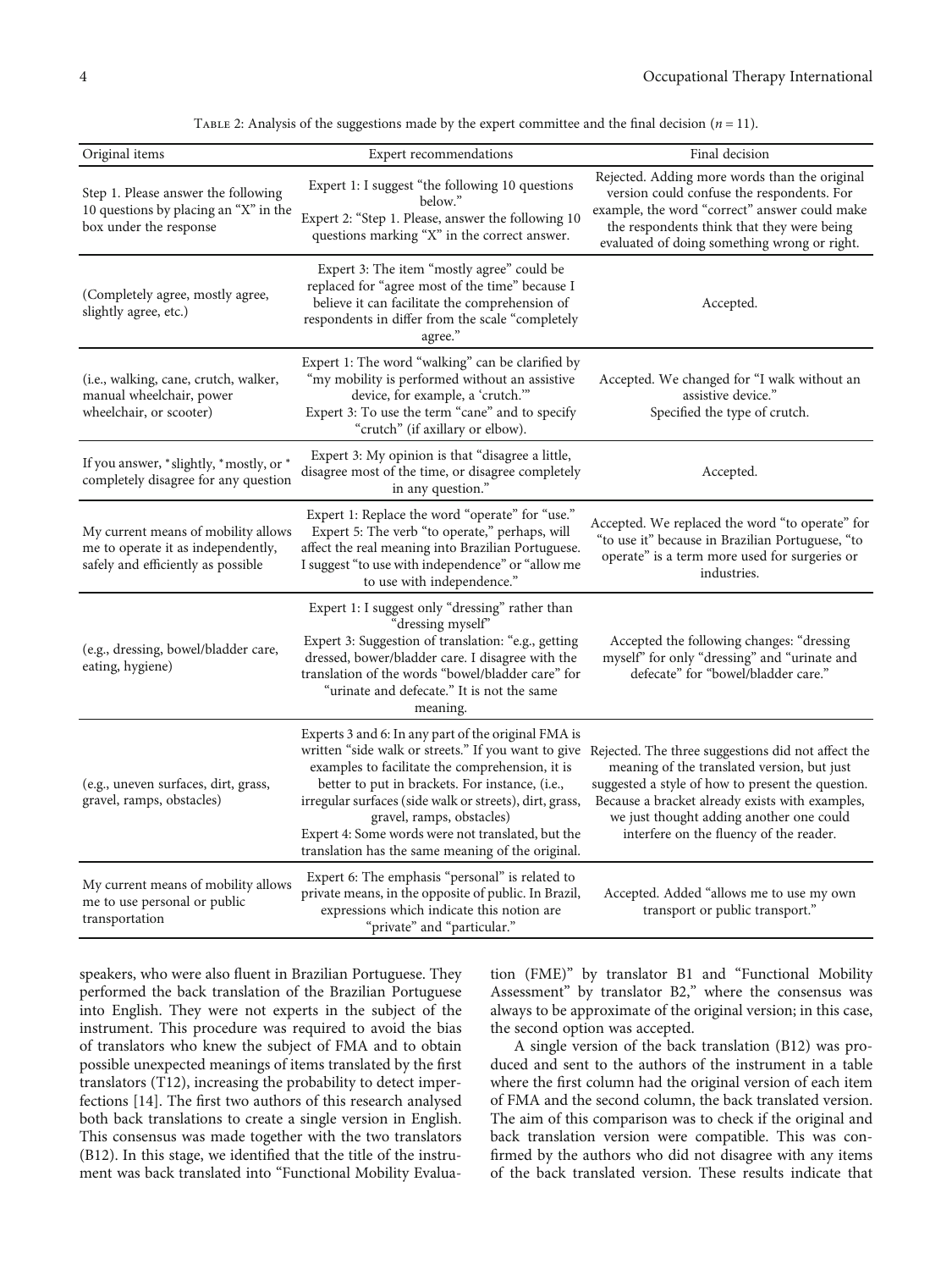<span id="page-4-0"></span>

| Original items                                                                                                  | Expert recommendations                                                                                                                                                                                                                                                                                                                                      | Final decision                                                                                                                                                                                                                                                                                                                                       |  |  |  |
|-----------------------------------------------------------------------------------------------------------------|-------------------------------------------------------------------------------------------------------------------------------------------------------------------------------------------------------------------------------------------------------------------------------------------------------------------------------------------------------------|------------------------------------------------------------------------------------------------------------------------------------------------------------------------------------------------------------------------------------------------------------------------------------------------------------------------------------------------------|--|--|--|
| Step 1. Please answer the following<br>10 questions by placing an "X" in the<br>box under the response          | Expert 1: I suggest "the following 10 questions<br>below."<br>Expert 2: "Step 1. Please, answer the following 10<br>questions marking "X" in the correct answer.                                                                                                                                                                                            | Rejected. Adding more words than the original<br>version could confuse the respondents. For<br>example, the word "correct" answer could make<br>the respondents think that they were being<br>evaluated of doing something wrong or right.                                                                                                           |  |  |  |
| (Completely agree, mostly agree,<br>slightly agree, etc.)                                                       | Expert 3: The item "mostly agree" could be<br>replaced for "agree most of the time" because I<br>believe it can facilitate the comprehension of<br>respondents in differ from the scale "completely<br>agree."                                                                                                                                              | Accepted.                                                                                                                                                                                                                                                                                                                                            |  |  |  |
| (i.e., walking, cane, crutch, walker,<br>manual wheelchair, power<br>wheelchair, or scooter)                    | Expert 1: The word "walking" can be clarified by<br>"my mobility is performed without an assistive<br>device, for example, a 'crutch."<br>Expert 3: To use the term "cane" and to specify<br>"crutch" (if axillary or elbow).                                                                                                                               | Accepted. We changed for "I walk without an<br>assistive device."<br>Specified the type of crutch.                                                                                                                                                                                                                                                   |  |  |  |
| If you answer, *slightly, *mostly, or *<br>completely disagree for any question                                 | Expert 3: My opinion is that "disagree a little,<br>disagree most of the time, or disagree completely<br>in any question."                                                                                                                                                                                                                                  | Accepted.                                                                                                                                                                                                                                                                                                                                            |  |  |  |
| My current means of mobility allows<br>me to operate it as independently,<br>safely and efficiently as possible | Expert 1: Replace the word "operate" for "use."<br>Expert 5: The verb "to operate," perhaps, will<br>affect the real meaning into Brazilian Portuguese.<br>I suggest "to use with independence" or "allow me<br>to use with independence."                                                                                                                  | Accepted. We replaced the word "to operate" for<br>"to use it" because in Brazilian Portuguese, "to<br>operate" is a term more used for surgeries or<br>industries.                                                                                                                                                                                  |  |  |  |
| (e.g., dressing, bowel/bladder care,<br>eating, hygiene)                                                        | Expert 1: I suggest only "dressing" rather than<br>"dressing myself"<br>Expert 3: Suggestion of translation: "e.g., getting<br>dressed, bower/bladder care. I disagree with the<br>translation of the words "bowel/bladder care" for<br>"urinate and defecate." It is not the same<br>meaning.                                                              | Accepted the following changes: "dressing<br>myself" for only "dressing" and "urinate and<br>defecate" for "bowel/bladder care."                                                                                                                                                                                                                     |  |  |  |
| (e.g., uneven surfaces, dirt, grass,<br>gravel, ramps, obstacles)                                               | Experts 3 and 6: In any part of the original FMA is<br>examples to facilitate the comprehension, it is<br>better to put in brackets. For instance, (i.e.,<br>irregular surfaces (side walk or streets), dirt, grass,<br>gravel, ramps, obstacles)<br>Expert 4: Some words were not translated, but the<br>translation has the same meaning of the original. | written "side walk or streets." If you want to give Rejected. The three suggestions did not affect the<br>meaning of the translated version, but just<br>suggested a style of how to present the question.<br>Because a bracket already exists with examples,<br>we just thought adding another one could<br>interfere on the fluency of the reader. |  |  |  |
| My current means of mobility allows<br>me to use personal or public<br>transportation                           | Expert 6: The emphasis "personal" is related to<br>private means, in the opposite of public. In Brazil,<br>expressions which indicate this notion are<br>"private" and "particular."                                                                                                                                                                        | Accepted. Added "allows me to use my own<br>transport or public transport."                                                                                                                                                                                                                                                                          |  |  |  |

TABLE 2: Analysis of the suggestions made by the expert committee and the final decision  $(n = 11)$ .

speakers, who were also fluent in Brazilian Portuguese. They performed the back translation of the Brazilian Portuguese into English. They were not experts in the subject of the instrument. This procedure was required to avoid the bias of translators who knew the subject of FMA and to obtain possible unexpected meanings of items translated by the first translators (T12), increasing the probability to detect imperfections [\[14\]](#page-7-0). The first two authors of this research analysed both back translations to create a single version in English. This consensus was made together with the two translators (B12). In this stage, we identified that the title of the instrument was back translated into "Functional Mobility Evalua-

tion (FME)" by translator B1 and "Functional Mobility Assessment" by translator B2," where the consensus was always to be approximate of the original version; in this case, the second option was accepted.

A single version of the back translation (B12) was produced and sent to the authors of the instrument in a table where the first column had the original version of each item of FMA and the second column, the back translated version. The aim of this comparison was to check if the original and back translation version were compatible. This was confirmed by the authors who did not disagree with any items of the back translated version. These results indicate that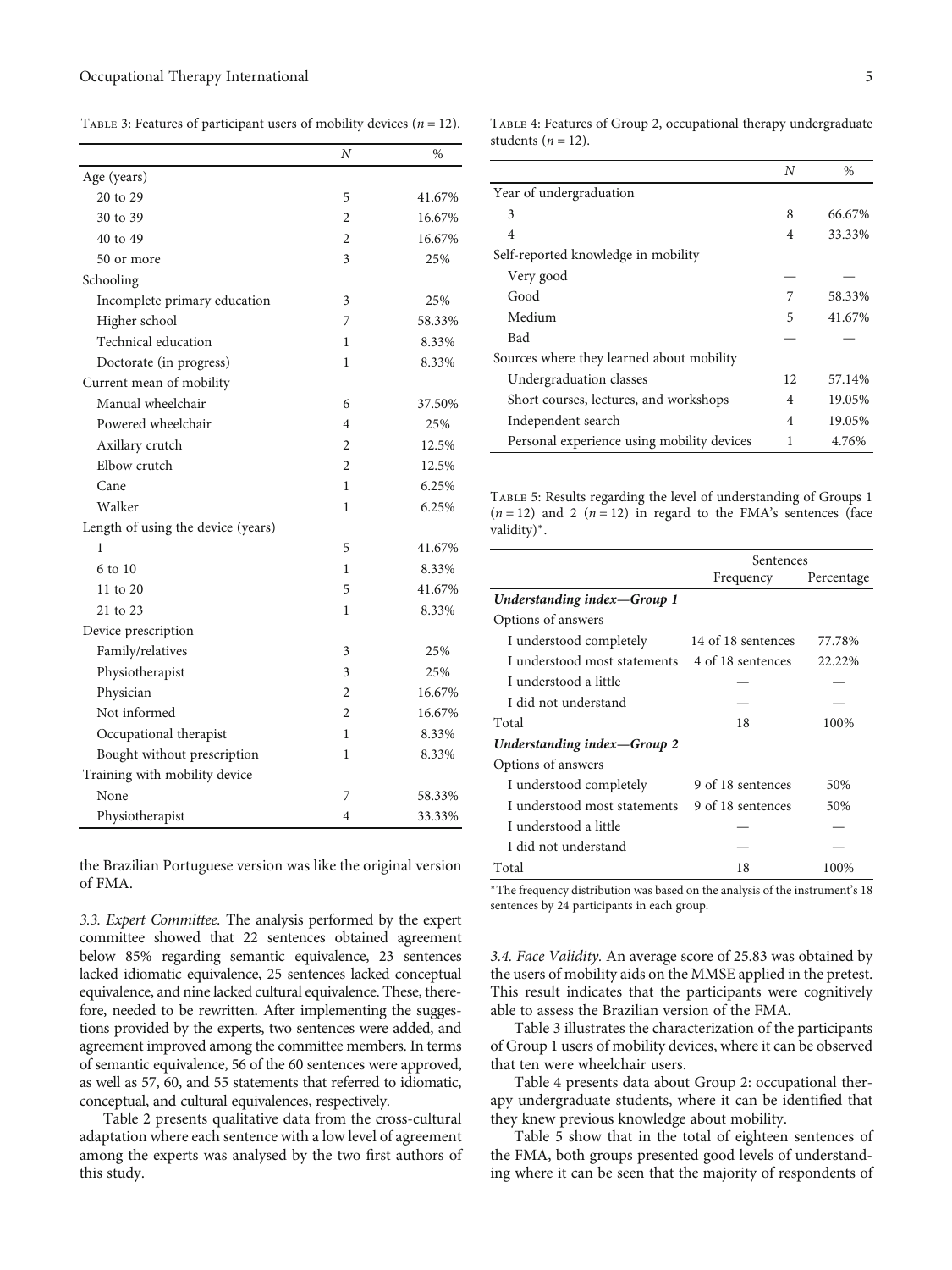TABLE 3: Features of participant users of mobility devices  $(n = 12)$ .

|                                    | N              | %      |
|------------------------------------|----------------|--------|
| Age (years)                        |                |        |
| 20 to 29                           | 5              | 41.67% |
| 30 to 39                           | $\overline{c}$ | 16.67% |
| 40 to 49                           | $\overline{c}$ | 16.67% |
| 50 or more                         | 3              | 25%    |
| Schooling                          |                |        |
| Incomplete primary education       | 3              | 25%    |
| Higher school                      | 7              | 58.33% |
| Technical education                | 1              | 8.33%  |
| Doctorate (in progress)            | 1              | 8.33%  |
| Current mean of mobility           |                |        |
| Manual wheelchair                  | 6              | 37.50% |
| Powered wheelchair                 | 4              | 25%    |
| Axillary crutch                    | $\overline{c}$ | 12.5%  |
| Elbow crutch                       | $\mathfrak{D}$ | 12.5%  |
| Cane                               | 1              | 6.25%  |
| Walker                             | 1              | 6.25%  |
| Length of using the device (years) |                |        |
| 1                                  | 5              | 41.67% |
| 6 to 10                            | 1              | 8.33%  |
| 11 to 20                           | 5              | 41.67% |
| 21 to 23                           | 1              | 8.33%  |
| Device prescription                |                |        |
| Family/relatives                   | 3              | 25%    |
| Physiotherapist                    | 3              | 25%    |
| Physician                          | $\mathfrak{D}$ | 16.67% |
| Not informed                       | $\overline{2}$ | 16.67% |
| Occupational therapist             | 1              | 8.33%  |
| Bought without prescription        | 1              | 8.33%  |
| Training with mobility device      |                |        |
| None                               | 7              | 58.33% |
| Physiotherapist                    | 4              | 33.33% |

the Brazilian Portuguese version was like the original version of FMA.

3.3. Expert Committee. The analysis performed by the expert committee showed that 22 sentences obtained agreement below 85% regarding semantic equivalence, 23 sentences lacked idiomatic equivalence, 25 sentences lacked conceptual equivalence, and nine lacked cultural equivalence. These, therefore, needed to be rewritten. After implementing the suggestions provided by the experts, two sentences were added, and agreement improved among the committee members. In terms of semantic equivalence, 56 of the 60 sentences were approved, as well as 57, 60, and 55 statements that referred to idiomatic, conceptual, and cultural equivalences, respectively.

Table [2](#page-4-0) presents qualitative data from the cross-cultural adaptation where each sentence with a low level of agreement among the experts was analysed by the two first authors of this study.

Table 4: Features of Group 2, occupational therapy undergraduate students  $(n = 12)$ .

|                                            | N              | $\frac{0}{0}$ |
|--------------------------------------------|----------------|---------------|
| Year of undergraduation                    |                |               |
| 3                                          | 8              | 66.67%        |
| 4                                          | 4              | 33.33%        |
| Self-reported knowledge in mobility        |                |               |
| Very good                                  |                |               |
| Good                                       | 7              | 58.33%        |
| Medium                                     | 5              | 41.67%        |
| Bad                                        |                |               |
| Sources where they learned about mobility  |                |               |
| Undergraduation classes                    | 12             | 57.14%        |
| Short courses, lectures, and workshops     | 4              | 19.05%        |
| Independent search                         | $\overline{4}$ | 19.05%        |
| Personal experience using mobility devices | 1              | 4.76%         |

Table 5: Results regarding the level of understanding of Groups 1  $(n = 12)$  and 2  $(n = 12)$  in regard to the FMA's sentences (face validity)∗.

|                              | Sentences          |            |
|------------------------------|--------------------|------------|
|                              | Frequency          | Percentage |
| Understanding index—Group 1  |                    |            |
| Options of answers           |                    |            |
| I understood completely      | 14 of 18 sentences | 77.78%     |
| I understood most statements | 4 of 18 sentences  | 22.22%     |
| I understood a little        |                    |            |
| I did not understand         |                    |            |
| Total                        | 18                 | 100%       |
| Understanding index—Group 2  |                    |            |
| Options of answers           |                    |            |
| I understood completely      | 9 of 18 sentences  | 50%        |
| I understood most statements | 9 of 18 sentences  | 50%        |
| I understood a little        |                    |            |
| I did not understand         |                    |            |
| Total                        | 18                 | 100%       |

<sup>∗</sup>The frequency distribution was based on the analysis of the instrument's 18 sentences by 24 participants in each group.

3.4. Face Validity. An average score of 25.83 was obtained by the users of mobility aids on the MMSE applied in the pretest. This result indicates that the participants were cognitively able to assess the Brazilian version of the FMA.

Table 3 illustrates the characterization of the participants of Group 1 users of mobility devices, where it can be observed that ten were wheelchair users.

Table 4 presents data about Group 2: occupational therapy undergraduate students, where it can be identified that they knew previous knowledge about mobility.

Table 5 show that in the total of eighteen sentences of the FMA, both groups presented good levels of understanding where it can be seen that the majority of respondents of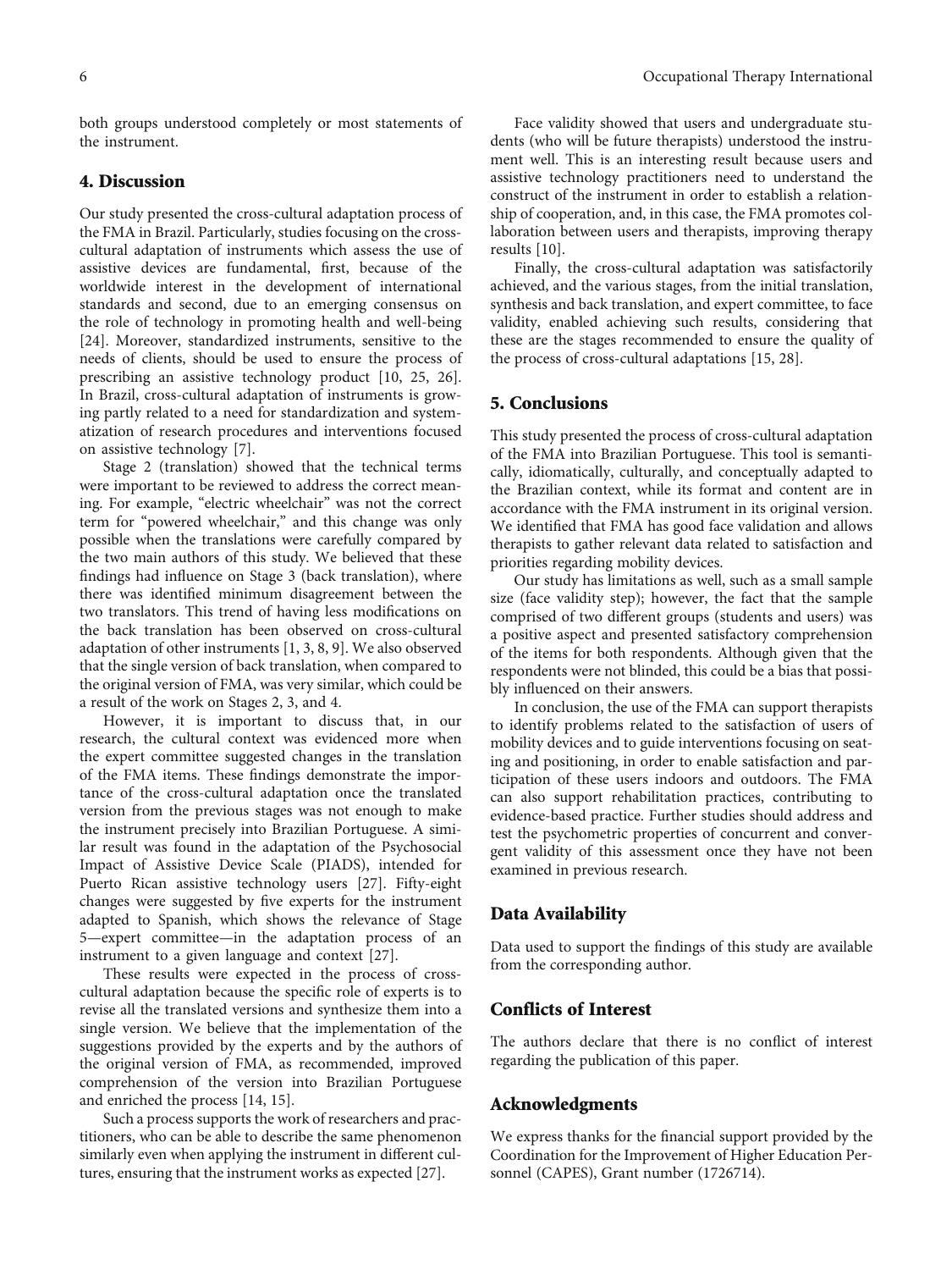both groups understood completely or most statements of the instrument.

#### 4. Discussion

Our study presented the cross-cultural adaptation process of the FMA in Brazil. Particularly, studies focusing on the crosscultural adaptation of instruments which assess the use of assistive devices are fundamental, first, because of the worldwide interest in the development of international standards and second, due to an emerging consensus on the role of technology in promoting health and well-being [\[24](#page-7-0)]. Moreover, standardized instruments, sensitive to the needs of clients, should be used to ensure the process of prescribing an assistive technology product [[10](#page-7-0), [25](#page-7-0), [26](#page-7-0)]. In Brazil, cross-cultural adaptation of instruments is growing partly related to a need for standardization and systematization of research procedures and interventions focused on assistive technology [\[7](#page-7-0)].

Stage 2 (translation) showed that the technical terms were important to be reviewed to address the correct meaning. For example, "electric wheelchair" was not the correct term for "powered wheelchair," and this change was only possible when the translations were carefully compared by the two main authors of this study. We believed that these findings had influence on Stage 3 (back translation), where there was identified minimum disagreement between the two translators. This trend of having less modifications on the back translation has been observed on cross-cultural adaptation of other instruments [[1, 3, 8, 9](#page-7-0)]. We also observed that the single version of back translation, when compared to the original version of FMA, was very similar, which could be a result of the work on Stages 2, 3, and 4.

However, it is important to discuss that, in our research, the cultural context was evidenced more when the expert committee suggested changes in the translation of the FMA items. These findings demonstrate the importance of the cross-cultural adaptation once the translated version from the previous stages was not enough to make the instrument precisely into Brazilian Portuguese. A similar result was found in the adaptation of the Psychosocial Impact of Assistive Device Scale (PIADS), intended for Puerto Rican assistive technology users [\[27\]](#page-7-0). Fifty-eight changes were suggested by five experts for the instrument adapted to Spanish, which shows the relevance of Stage 5—expert committee—in the adaptation process of an instrument to a given language and context [[27](#page-7-0)].

These results were expected in the process of crosscultural adaptation because the specific role of experts is to revise all the translated versions and synthesize them into a single version. We believe that the implementation of the suggestions provided by the experts and by the authors of the original version of FMA, as recommended, improved comprehension of the version into Brazilian Portuguese and enriched the process [\[14, 15](#page-7-0)].

Such a process supports the work of researchers and practitioners, who can be able to describe the same phenomenon similarly even when applying the instrument in different cultures, ensuring that the instrument works as expected [\[27](#page-7-0)].

Face validity showed that users and undergraduate students (who will be future therapists) understood the instrument well. This is an interesting result because users and assistive technology practitioners need to understand the construct of the instrument in order to establish a relationship of cooperation, and, in this case, the FMA promotes collaboration between users and therapists, improving therapy results [\[10\]](#page-7-0).

Finally, the cross-cultural adaptation was satisfactorily achieved, and the various stages, from the initial translation, synthesis and back translation, and expert committee, to face validity, enabled achieving such results, considering that these are the stages recommended to ensure the quality of the process of cross-cultural adaptations [[15](#page-7-0), [28\]](#page-7-0).

#### 5. Conclusions

This study presented the process of cross-cultural adaptation of the FMA into Brazilian Portuguese. This tool is semantically, idiomatically, culturally, and conceptually adapted to the Brazilian context, while its format and content are in accordance with the FMA instrument in its original version. We identified that FMA has good face validation and allows therapists to gather relevant data related to satisfaction and priorities regarding mobility devices.

Our study has limitations as well, such as a small sample size (face validity step); however, the fact that the sample comprised of two different groups (students and users) was a positive aspect and presented satisfactory comprehension of the items for both respondents. Although given that the respondents were not blinded, this could be a bias that possibly influenced on their answers.

In conclusion, the use of the FMA can support therapists to identify problems related to the satisfaction of users of mobility devices and to guide interventions focusing on seating and positioning, in order to enable satisfaction and participation of these users indoors and outdoors. The FMA can also support rehabilitation practices, contributing to evidence-based practice. Further studies should address and test the psychometric properties of concurrent and convergent validity of this assessment once they have not been examined in previous research.

#### Data Availability

Data used to support the findings of this study are available from the corresponding author.

#### Conflicts of Interest

The authors declare that there is no conflict of interest regarding the publication of this paper.

#### Acknowledgments

We express thanks for the financial support provided by the Coordination for the Improvement of Higher Education Personnel (CAPES), Grant number (1726714).